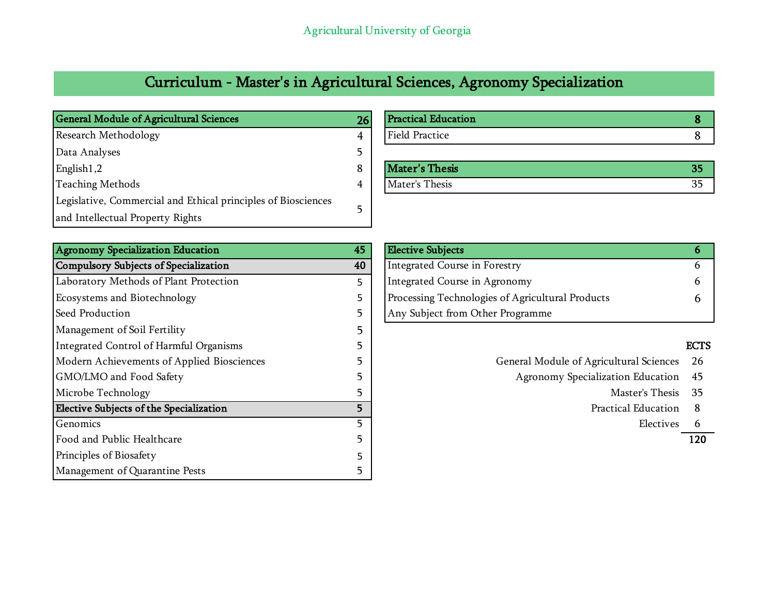## Curriculum - Master's in Agricultural Sciences, Agronomy Specialization

| <b>General Module of Agricultural Sciences</b>                | 26 | <b>Practical Education</b> |    |
|---------------------------------------------------------------|----|----------------------------|----|
| <b>Research Methodology</b>                                   |    | Field Practice             |    |
| Data Analyses                                                 |    |                            |    |
| English1,2                                                    |    | <b>Mater's Thesis</b>      | 35 |
| <b>Teaching Methods</b>                                       |    | Mater's Thesis             | 35 |
| Legislative, Commercial and Ethical principles of Biosciences |    |                            |    |
| and Intellectual Property Rights                              |    |                            |    |

| <b>Agronomy Specialization Education</b>   | 45 | <b>Elective Subjects</b>                         | 6           |
|--------------------------------------------|----|--------------------------------------------------|-------------|
| Compulsory Subjects of Specialization      | 40 | Integrated Course in Forestry                    | 6.          |
| Laboratory Methods of Plant Protection     | 5  | Integrated Course in Agronomy                    | 6           |
| Ecosystems and Biotechnology               | 5. | Processing Technologies of Agricultural Products | h.          |
| Seed Production                            |    | Any Subject from Other Programme                 |             |
| Management of Soil Fertility               |    |                                                  |             |
| Integrated Control of Harmful Organisms    |    |                                                  | <b>ECTS</b> |
| Modern Achievements of Applied Biosciences |    | General Module of Agricultural Sciences          | 26          |
| GMO/LMO and Food Safety                    |    | Agronomy Specialization Education                | 45          |
| Microbe Technology                         |    | Master's Thesis                                  | -35         |
| Elective Subjects of the Specialization    | 5. | Practical Education                              | 8           |
| Genomics                                   |    | Electives                                        | -6          |
| Food and Public Healthcare                 |    |                                                  | 120         |
| Principles of Biosafety                    |    |                                                  |             |
| Management of Quarantine Pests             |    |                                                  |             |

| 26 | <b>Practical Education</b> |    |
|----|----------------------------|----|
|    | <b>Field Practice</b>      |    |
|    |                            |    |
|    | <b>Mater's Thesis</b>      | 35 |
|    |                            |    |

| <b>Elective Subjects</b>                         |  |
|--------------------------------------------------|--|
| Integrated Course in Forestry                    |  |
| Integrated Course in Agronomy                    |  |
| Processing Technologies of Agricultural Products |  |
| Any Subject from Other Programme                 |  |
| 45<br>40                                         |  |

- General Module of Agricultural Sciences 26
	- Agronomy Specialization Education 45
		-
		- Practical Education 8
			-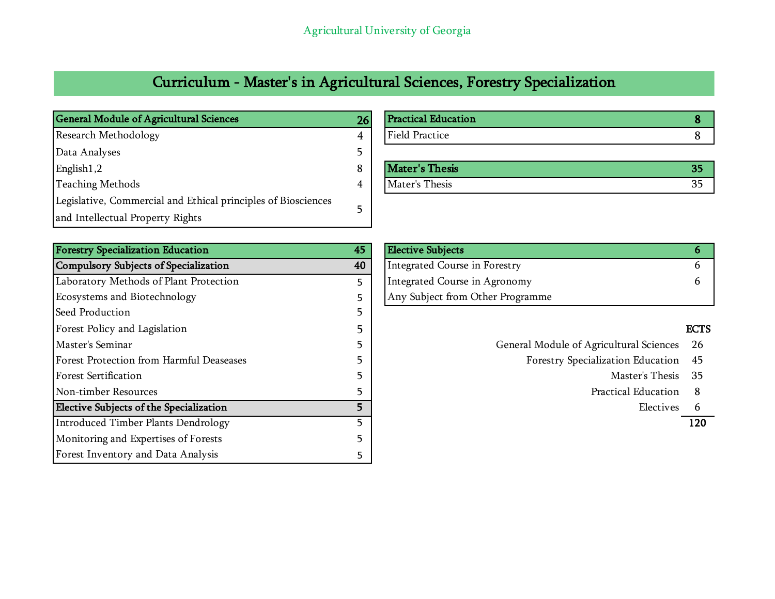## Curriculum - Master's in Agricultural Sciences, Forestry Specialization

| <b>General Module of Agricultural Sciences</b>                | 26 | <b>Practical Education</b> |    |
|---------------------------------------------------------------|----|----------------------------|----|
| <b>Research Methodology</b>                                   |    | Field Practice             |    |
| Data Analyses                                                 |    |                            |    |
| English1,2                                                    |    | Mater's Thesis             | 35 |
| <b>Teaching Methods</b>                                       |    | Mater's Thesis             | 35 |
| Legislative, Commercial and Ethical principles of Biosciences |    |                            |    |
| and Intellectual Property Rights                              |    |                            |    |

| <b>Forestry Specialization Education</b> | 45 | <b>Elective Subjects</b>                |             |
|------------------------------------------|----|-----------------------------------------|-------------|
| Compulsory Subjects of Specialization    | 40 | Integrated Course in Forestry           | O.          |
| Laboratory Methods of Plant Protection   | 5. | Integrated Course in Agronomy           |             |
| Ecosystems and Biotechnology             |    | Any Subject from Other Programme        |             |
| Seed Production                          |    |                                         |             |
| Forest Policy and Lagislation            |    |                                         | <b>ECTS</b> |
| Master's Seminar                         |    | General Module of Agricultural Sciences | 26          |
| Forest Protection from Harmful Deaseases |    | Forestry Specialization Education       | 45          |
| <b>Forest Sertification</b>              |    | Master's Thesis                         | -35         |
| Non-timber Resources                     |    | Practical Education                     | 8           |
| Elective Subjects of the Specialization  |    | Electives                               |             |
| Introduced Timber Plants Dendrology      |    |                                         | 120         |
| Monitoring and Expertises of Forests     |    |                                         |             |
| Forest Inventory and Data Analysis       |    |                                         |             |

| General Module of Agricultural Sciences | 26 | <b>Practical Education</b> |    |
|-----------------------------------------|----|----------------------------|----|
| Research Methodology                    |    | <b>Field Practice</b>      |    |
| Data Analyses                           |    |                            |    |
| English1,2                              |    | Mater's Thesis             | 35 |

| <b>Forestry Specialization Education</b><br>45 | <b>Elective Subjects</b>         |  |
|------------------------------------------------|----------------------------------|--|
| Compulsory Subjects of Specialization<br>40    | Integrated Course in Forestry    |  |
| Laboratory Methods of Plant Protection         | Integrated Course in Agronomy    |  |
| Ecosystems and Biotechnology                   | Any Subject from Other Programme |  |

- General Module of Agricultural Sciences 26
	- Forestry Specialization Education 45
		-
		- Practical Education 8
			-